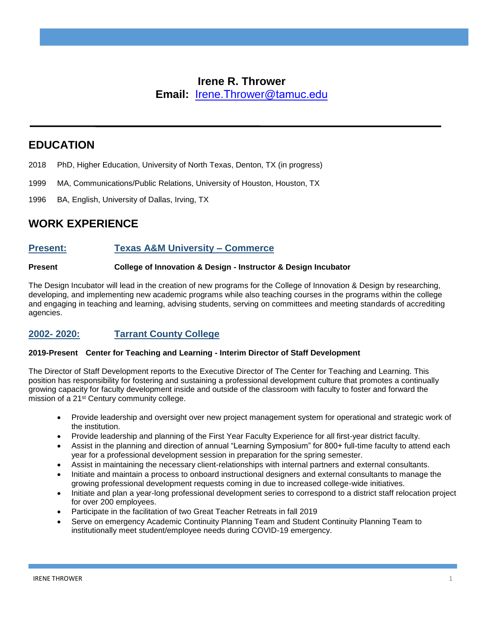## **Irene R. Thrower Email:** Irene.Thrower@tamuc.edu

**EDUCATION**

- 2018 PhD, Higher Education, University of North Texas, Denton, TX (in progress)
- 1999 MA, Communications/Public Relations, University of Houston, Houston, TX
- 1996 BA, English, University of Dallas, Irving, TX

# **WORK EXPERIENCE**

## **Present: Texas A&M University – Commerce**

### **Present College of Innovation & Design - Instructor & Design Incubator**

The Design Incubator will lead in the creation of new programs for the College of Innovation & Design by researching, developing, and implementing new academic programs while also teaching courses in the programs within the college and engaging in teaching and learning, advising students, serving on committees and meeting standards of accrediting agencies.

## **2002- 2020: Tarrant County College**

### **2019-Present Center for Teaching and Learning - Interim Director of Staff Development**

The Director of Staff Development reports to the Executive Director of The Center for Teaching and Learning. This position has responsibility for fostering and sustaining a professional development culture that promotes a continually growing capacity for faculty development inside and outside of the classroom with faculty to foster and forward the mission of a 21st Century community college.

- Provide leadership and oversight over new project management system for operational and strategic work of the institution.
- Provide leadership and planning of the First Year Faculty Experience for all first-year district faculty.
- Assist in the planning and direction of annual "Learning Symposium" for 800+ full-time faculty to attend each year for a professional development session in preparation for the spring semester.
- Assist in maintaining the necessary client-relationships with internal partners and external consultants.
- Initiate and maintain a process to onboard instructional designers and external consultants to manage the growing professional development requests coming in due to increased college-wide initiatives.
- Initiate and plan a year-long professional development series to correspond to a district staff relocation project for over 200 employees.
- Participate in the facilitation of two Great Teacher Retreats in fall 2019
- Serve on emergency Academic Continuity Planning Team and Student Continuity Planning Team to institutionally meet student/employee needs during COVID-19 emergency.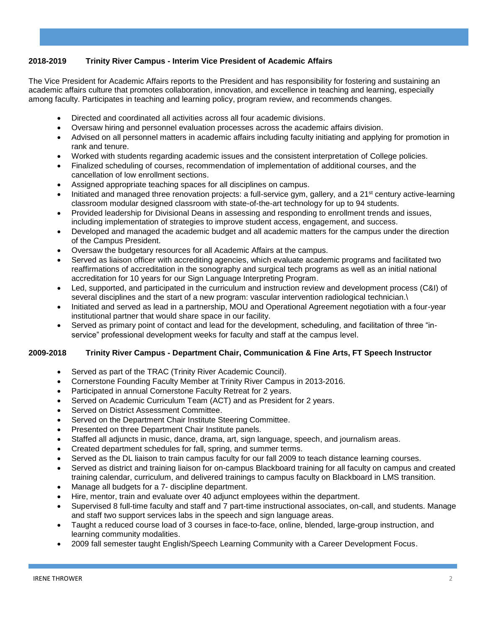## **2018-2019 Trinity River Campus - Interim Vice President of Academic Affairs**

The Vice President for Academic Affairs reports to the President and has responsibility for fostering and sustaining an academic affairs culture that promotes collaboration, innovation, and excellence in teaching and learning, especially among faculty. Participates in teaching and learning policy, program review, and recommends changes.

- Directed and coordinated all activities across all four academic divisions.
- Oversaw hiring and personnel evaluation processes across the academic affairs division.
- Advised on all personnel matters in academic affairs including faculty initiating and applying for promotion in rank and tenure.
- Worked with students regarding academic issues and the consistent interpretation of College policies.
- Finalized scheduling of courses, recommendation of implementation of additional courses, and the cancellation of low enrollment sections.
- Assigned appropriate teaching spaces for all disciplines on campus.
- Initiated and managed three renovation projects: a full-service gym, gallery, and a 21st century active-learning classroom modular designed classroom with state-of-the-art technology for up to 94 students.
- Provided leadership for Divisional Deans in assessing and responding to enrollment trends and issues, including implementation of strategies to improve student access, engagement, and success.
- Developed and managed the academic budget and all academic matters for the campus under the direction of the Campus President.
- Oversaw the budgetary resources for all Academic Affairs at the campus.
- Served as liaison officer with accrediting agencies, which evaluate academic programs and facilitated two reaffirmations of accreditation in the sonography and surgical tech programs as well as an initial national accreditation for 10 years for our Sign Language Interpreting Program.
- Led, supported, and participated in the curriculum and instruction review and development process (C&I) of several disciplines and the start of a new program: vascular intervention radiological technician.\
- Initiated and served as lead in a partnership, MOU and Operational Agreement negotiation with a four-year institutional partner that would share space in our facility.
- Served as primary point of contact and lead for the development, scheduling, and facilitation of three "inservice" professional development weeks for faculty and staff at the campus level.

#### **2009-2018 Trinity River Campus - Department Chair, Communication & Fine Arts, FT Speech Instructor**

- Served as part of the TRAC (Trinity River Academic Council).
- Cornerstone Founding Faculty Member at Trinity River Campus in 2013-2016.
- Participated in annual Cornerstone Faculty Retreat for 2 years.
- Served on Academic Curriculum Team (ACT) and as President for 2 years.
- Served on District Assessment Committee.
- Served on the Department Chair Institute Steering Committee.
- Presented on three Department Chair Institute panels.
- Staffed all adjuncts in music, dance, drama, art, sign language, speech, and journalism areas.
- Created department schedules for fall, spring, and summer terms.
- Served as the DL liaison to train campus faculty for our fall 2009 to teach distance learning courses.
- Served as district and training liaison for on-campus Blackboard training for all faculty on campus and created training calendar, curriculum, and delivered trainings to campus faculty on Blackboard in LMS transition.
- Manage all budgets for a 7- discipline department.
- Hire, mentor, train and evaluate over 40 adjunct employees within the department.
- Supervised 8 full-time faculty and staff and 7 part-time instructional associates, on-call, and students. Manage and staff two support services labs in the speech and sign language areas.
- Taught a reduced course load of 3 courses in face-to-face, online, blended, large-group instruction, and learning community modalities.
- 2009 fall semester taught English/Speech Learning Community with a Career Development Focus.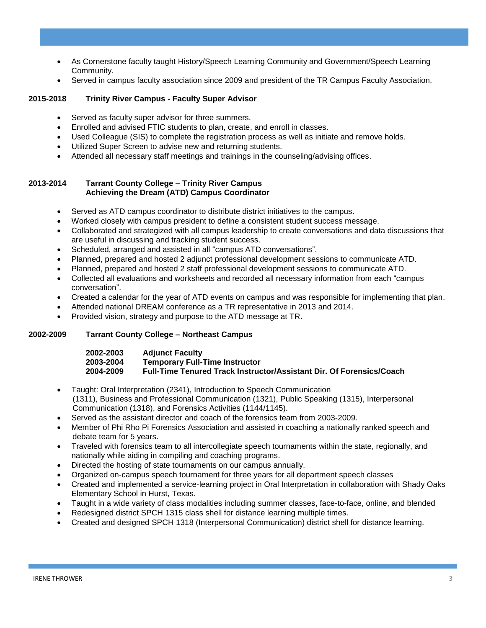- As Cornerstone faculty taught History/Speech Learning Community and Government/Speech Learning Community.
- Served in campus faculty association since 2009 and president of the TR Campus Faculty Association.

#### **2015-2018 Trinity River Campus - Faculty Super Advisor**

- Served as faculty super advisor for three summers.
- Enrolled and advised FTIC students to plan, create, and enroll in classes.
- Used Colleague (SIS) to complete the registration process as well as initiate and remove holds.
- Utilized Super Screen to advise new and returning students.
- Attended all necessary staff meetings and trainings in the counseling/advising offices.

#### **2013-2014 Tarrant County College – Trinity River Campus Achieving the Dream (ATD) Campus Coordinator**

- Served as ATD campus coordinator to distribute district initiatives to the campus.
- Worked closely with campus president to define a consistent student success message.
- Collaborated and strategized with all campus leadership to create conversations and data discussions that are useful in discussing and tracking student success.
- Scheduled, arranged and assisted in all "campus ATD conversations".
- Planned, prepared and hosted 2 adjunct professional development sessions to communicate ATD.
- Planned, prepared and hosted 2 staff professional development sessions to communicate ATD.
- Collected all evaluations and worksheets and recorded all necessary information from each "campus conversation".
- Created a calendar for the year of ATD events on campus and was responsible for implementing that plan.
- Attended national DREAM conference as a TR representative in 2013 and 2014.
- Provided vision, strategy and purpose to the ATD message at TR.

#### **2002-2009 Tarrant County College – Northeast Campus**

#### **2002-2003 Adjunct Faculty 2003-2004 Temporary Full-Time Instructor 2004-2009 Full-Time Tenured Track Instructor/Assistant Dir. Of Forensics/Coach**

- Taught: Oral Interpretation (2341), Introduction to Speech Communication (1311), Business and Professional Communication (1321), Public Speaking (1315), Interpersonal Communication (1318), and Forensics Activities (1144/1145).
- Served as the assistant director and coach of the forensics team from 2003-2009.
- Member of Phi Rho Pi Forensics Association and assisted in coaching a nationally ranked speech and debate team for 5 years.
- Traveled with forensics team to all intercollegiate speech tournaments within the state, regionally, and nationally while aiding in compiling and coaching programs.
- Directed the hosting of state tournaments on our campus annually.
- Organized on-campus speech tournament for three years for all department speech classes
- Created and implemented a service-learning project in Oral Interpretation in collaboration with Shady Oaks Elementary School in Hurst, Texas.
- Taught in a wide variety of class modalities including summer classes, face-to-face, online, and blended
- Redesigned district SPCH 1315 class shell for distance learning multiple times.
- Created and designed SPCH 1318 (Interpersonal Communication) district shell for distance learning.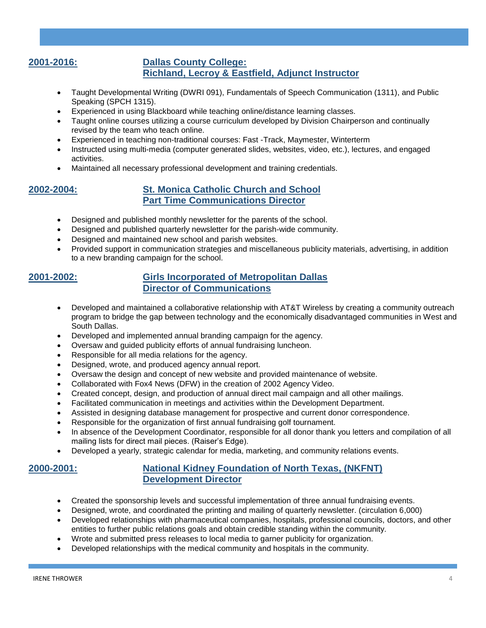### **2001-2016: Dallas County College: Richland, Lecroy & Eastfield, Adjunct Instructor**

- Taught Developmental Writing (DWRI 091), Fundamentals of Speech Communication (1311), and Public Speaking (SPCH 1315).
- Experienced in using Blackboard while teaching online/distance learning classes.
- Taught online courses utilizing a course curriculum developed by Division Chairperson and continually revised by the team who teach online.
- Experienced in teaching non-traditional courses: Fast -Track, Maymester, Winterterm
- Instructed using multi-media (computer generated slides, websites, video, etc.), lectures, and engaged activities.
- Maintained all necessary professional development and training credentials.

### **2002-2004: St. Monica Catholic Church and School Part Time Communications Director**

- Designed and published monthly newsletter for the parents of the school.
- Designed and published quarterly newsletter for the parish-wide community.
- Designed and maintained new school and parish websites.
- Provided support in communication strategies and miscellaneous publicity materials, advertising, in addition to a new branding campaign for the school.

## **2001-2002: Girls Incorporated of Metropolitan Dallas Director of Communications**

- Developed and maintained a collaborative relationship with AT&T Wireless by creating a community outreach program to bridge the gap between technology and the economically disadvantaged communities in West and South Dallas.
- Developed and implemented annual branding campaign for the agency.
- Oversaw and guided publicity efforts of annual fundraising luncheon.
- Responsible for all media relations for the agency.
- Designed, wrote, and produced agency annual report.
- Oversaw the design and concept of new website and provided maintenance of website.
- Collaborated with Fox4 News (DFW) in the creation of 2002 Agency Video.
- Created concept, design, and production of annual direct mail campaign and all other mailings.
- Facilitated communication in meetings and activities within the Development Department.
- Assisted in designing database management for prospective and current donor correspondence.
- Responsible for the organization of first annual fundraising golf tournament.
- In absence of the Development Coordinator, responsible for all donor thank you letters and compilation of all mailing lists for direct mail pieces. (Raiser's Edge).
- Developed a yearly, strategic calendar for media, marketing, and community relations events.

## **2000-2001: National Kidney Foundation of North Texas, (NKFNT) Development Director**

- Created the sponsorship levels and successful implementation of three annual fundraising events.
- Designed, wrote, and coordinated the printing and mailing of quarterly newsletter. (circulation 6,000)
- Developed relationships with pharmaceutical companies, hospitals, professional councils, doctors, and other entities to further public relations goals and obtain credible standing within the community.
- Wrote and submitted press releases to local media to garner publicity for organization.
- Developed relationships with the medical community and hospitals in the community.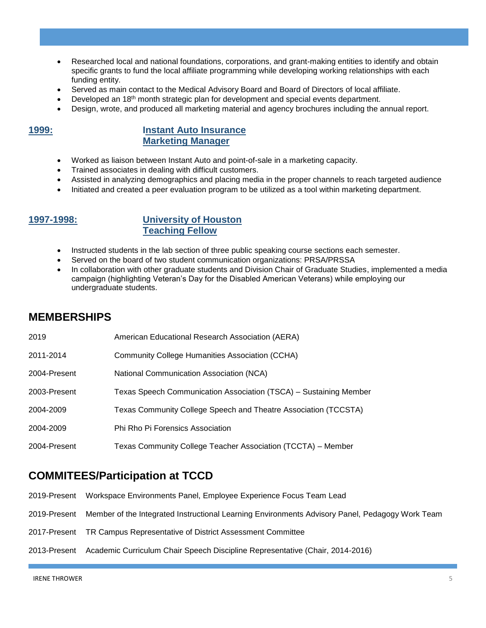- Researched local and national foundations, corporations, and grant-making entities to identify and obtain specific grants to fund the local affiliate programming while developing working relationships with each funding entity.
- Served as main contact to the Medical Advisory Board and Board of Directors of local affiliate.
- Developed an  $18<sup>th</sup>$  month strategic plan for development and special events department.
- Design, wrote, and produced all marketing material and agency brochures including the annual report.

### **1999: Instant Auto Insurance Marketing Manager**

- Worked as liaison between Instant Auto and point-of-sale in a marketing capacity.
- Trained associates in dealing with difficult customers.
- Assisted in analyzing demographics and placing media in the proper channels to reach targeted audience
- Initiated and created a peer evaluation program to be utilized as a tool within marketing department.

## **1997-1998: University of Houston Teaching Fellow**

- Instructed students in the lab section of three public speaking course sections each semester.
- Served on the board of two student communication organizations: PRSA/PRSSA
- In collaboration with other graduate students and Division Chair of Graduate Studies, implemented a media campaign (highlighting Veteran's Day for the Disabled American Veterans) while employing our undergraduate students.

# **MEMBERSHIPS**

| 2019         | American Educational Research Association (AERA)                  |
|--------------|-------------------------------------------------------------------|
| 2011-2014    | Community College Humanities Association (CCHA)                   |
| 2004-Present | National Communication Association (NCA)                          |
| 2003-Present | Texas Speech Communication Association (TSCA) - Sustaining Member |
| 2004-2009    | Texas Community College Speech and Theatre Association (TCCSTA)   |
| 2004-2009    | Phi Rho Pi Forensics Association                                  |
| 2004-Present | Texas Community College Teacher Association (TCCTA) – Member      |

## **COMMITEES/Participation at TCCD**

- 2019-Present Workspace Environments Panel, Employee Experience Focus Team Lead
- 2019-Present Member of the Integrated Instructional Learning Environments Advisory Panel, Pedagogy Work Team
- 2017-Present TR Campus Representative of District Assessment Committee
- 2013-Present Academic Curriculum Chair Speech Discipline Representative (Chair, 2014-2016)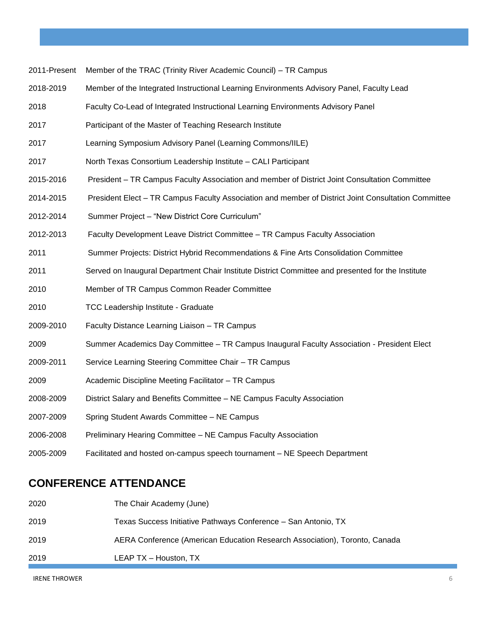|  |  |  | 2011-Present Member of the TRAC (Trinity River Academic Council) – TR Campus |
|--|--|--|------------------------------------------------------------------------------|
|--|--|--|------------------------------------------------------------------------------|

- 2018-2019 Member of the Integrated Instructional Learning Environments Advisory Panel, Faculty Lead
- 2018 Faculty Co-Lead of Integrated Instructional Learning Environments Advisory Panel
- 2017 Participant of the Master of Teaching Research Institute
- 2017 Learning Symposium Advisory Panel (Learning Commons/IILE)
- 2017 North Texas Consortium Leadership Institute CALI Participant
- 2015-2016 President TR Campus Faculty Association and member of District Joint Consultation Committee
- 2014-2015 President Elect TR Campus Faculty Association and member of District Joint Consultation Committee
- 2012-2014 Summer Project "New District Core Curriculum"
- 2012-2013 Faculty Development Leave District Committee TR Campus Faculty Association
- 2011 Summer Projects: District Hybrid Recommendations & Fine Arts Consolidation Committee
- 2011 Served on Inaugural Department Chair Institute District Committee and presented for the Institute
- 2010 Member of TR Campus Common Reader Committee
- 2010 TCC Leadership Institute Graduate
- 2009-2010 Faculty Distance Learning Liaison TR Campus
- 2009 Summer Academics Day Committee TR Campus Inaugural Faculty Association President Elect
- 2009-2011 Service Learning Steering Committee Chair TR Campus
- 2009 Academic Discipline Meeting Facilitator TR Campus
- 2008-2009 District Salary and Benefits Committee NE Campus Faculty Association
- 2007-2009 Spring Student Awards Committee NE Campus
- 2006-2008 Preliminary Hearing Committee NE Campus Faculty Association
- 2005-2009 Facilitated and hosted on-campus speech tournament NE Speech Department

## **CONFERENCE ATTENDANCE**

| 2020 | The Chair Academy (June)                                                   |
|------|----------------------------------------------------------------------------|
| 2019 | Texas Success Initiative Pathways Conference - San Antonio, TX             |
| 2019 | AERA Conference (American Education Research Association), Toronto, Canada |
| 2019 | LEAP TX - Houston, TX                                                      |

IRENE THROWER 6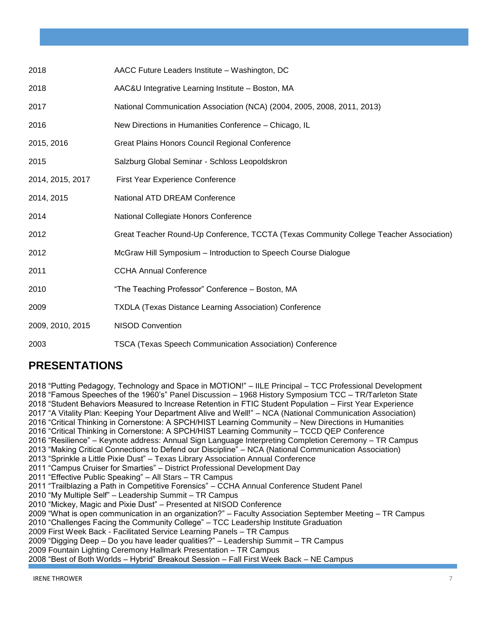| 2018             | AACC Future Leaders Institute - Washington, DC                                         |
|------------------|----------------------------------------------------------------------------------------|
| 2018             | AAC&U Integrative Learning Institute - Boston, MA                                      |
| 2017             | National Communication Association (NCA) (2004, 2005, 2008, 2011, 2013)                |
| 2016             | New Directions in Humanities Conference - Chicago, IL                                  |
| 2015, 2016       | Great Plains Honors Council Regional Conference                                        |
| 2015             | Salzburg Global Seminar - Schloss Leopoldskron                                         |
| 2014, 2015, 2017 | First Year Experience Conference                                                       |
| 2014, 2015       | National ATD DREAM Conference                                                          |
| 2014             | National Collegiate Honors Conference                                                  |
| 2012             | Great Teacher Round-Up Conference, TCCTA (Texas Community College Teacher Association) |
| 2012             | McGraw Hill Symposium - Introduction to Speech Course Dialogue                         |
| 2011             | <b>CCHA Annual Conference</b>                                                          |
| 2010             | "The Teaching Professor" Conference - Boston, MA                                       |
| 2009             | <b>TXDLA (Texas Distance Learning Association) Conference</b>                          |
| 2009, 2010, 2015 | <b>NISOD Convention</b>                                                                |
| 2003             | <b>TSCA (Texas Speech Communication Association) Conference</b>                        |

# **PRESENTATIONS**

2018 "Putting Pedagogy, Technology and Space in MOTION!" – IILE Principal – TCC Professional Development 2018 "Famous Speeches of the 1960's" Panel Discussion – 1968 History Symposium TCC – TR/Tarleton State 2018 "Student Behaviors Measured to Increase Retention in FTIC Student Population – First Year Experience 2017 "A Vitality Plan: Keeping Your Department Alive and Well!" – NCA (National Communication Association) 2016 "Critical Thinking in Cornerstone: A SPCH/HIST Learning Community – New Directions in Humanities 2016 "Critical Thinking in Cornerstone: A SPCH/HIST Learning Community – TCCD QEP Conference 2016 "Resilience" – Keynote address: Annual Sign Language Interpreting Completion Ceremony – TR Campus 2013 "Making Critical Connections to Defend our Discipline" – NCA (National Communication Association) 2013 "Sprinkle a Little Pixie Dust" – Texas Library Association Annual Conference 2011 "Campus Cruiser for Smarties" – District Professional Development Day 2011 "Effective Public Speaking" – All Stars – TR Campus 2011 "Trailblazing a Path in Competitive Forensics" – CCHA Annual Conference Student Panel 2010 "My Multiple Self" – Leadership Summit – TR Campus 2010 "Mickey, Magic and Pixie Dust" – Presented at NISOD Conference 2009 "What is open communication in an organization?" – Faculty Association September Meeting – TR Campus 2010 "Challenges Facing the Community College" – TCC Leadership Institute Graduation 2009 First Week Back - Facilitated Service Learning Panels – TR Campus 2009 "Digging Deep – Do you have leader qualities?" – Leadership Summit – TR Campus 2009 Fountain Lighting Ceremony Hallmark Presentation – TR Campus 2008 "Best of Both Worlds – Hybrid" Breakout Session – Fall First Week Back – NE Campus